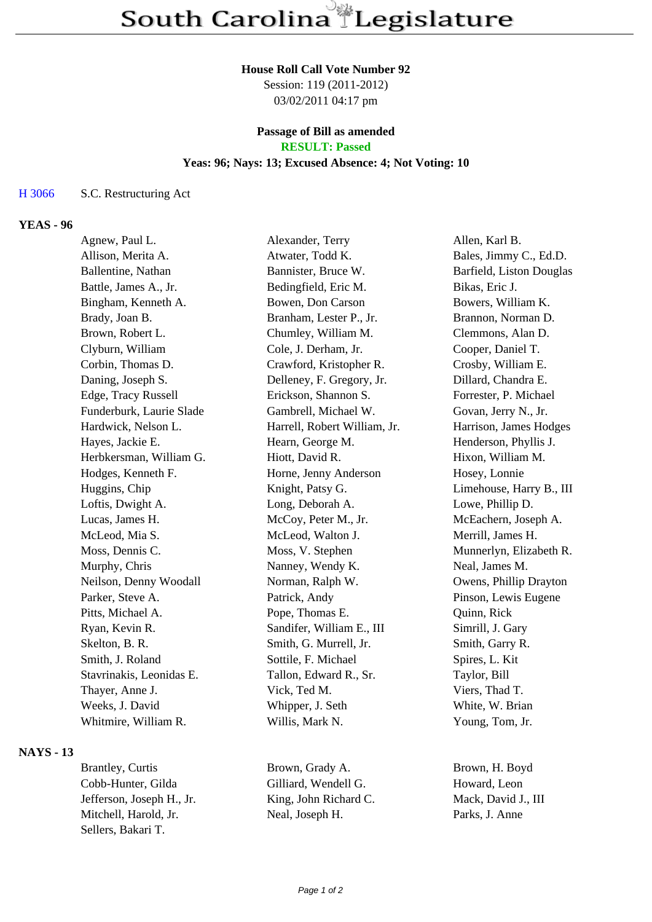#### **House Roll Call Vote Number 92**

Session: 119 (2011-2012) 03/02/2011 04:17 pm

#### **Passage of Bill as amended RESULT: Passed**

# **Yeas: 96; Nays: 13; Excused Absence: 4; Not Voting: 10**

### H 3066 S.C. Restructuring Act

## **YEAS - 96**

| Agnew, Paul L.           | Alexander, Terry             | Allen, Karl B.           |
|--------------------------|------------------------------|--------------------------|
| Allison, Merita A.       | Atwater, Todd K.             | Bales, Jimmy C., Ed.D.   |
| Ballentine, Nathan       | Bannister, Bruce W.          | Barfield, Liston Douglas |
| Battle, James A., Jr.    | Bedingfield, Eric M.         | Bikas, Eric J.           |
| Bingham, Kenneth A.      | Bowen, Don Carson            | Bowers, William K.       |
| Brady, Joan B.           | Branham, Lester P., Jr.      | Brannon, Norman D.       |
| Brown, Robert L.         | Chumley, William M.          | Clemmons, Alan D.        |
| Clyburn, William         | Cole, J. Derham, Jr.         | Cooper, Daniel T.        |
| Corbin, Thomas D.        | Crawford, Kristopher R.      | Crosby, William E.       |
| Daning, Joseph S.        | Delleney, F. Gregory, Jr.    | Dillard, Chandra E.      |
| Edge, Tracy Russell      | Erickson, Shannon S.         | Forrester, P. Michael    |
| Funderburk, Laurie Slade | Gambrell, Michael W.         | Govan, Jerry N., Jr.     |
| Hardwick, Nelson L.      | Harrell, Robert William, Jr. | Harrison, James Hodges   |
| Hayes, Jackie E.         | Hearn, George M.             | Henderson, Phyllis J.    |
| Herbkersman, William G.  | Hiott, David R.              | Hixon, William M.        |
| Hodges, Kenneth F.       | Horne, Jenny Anderson        | Hosey, Lonnie            |
| Huggins, Chip            | Knight, Patsy G.             | Limehouse, Harry B., III |
| Loftis, Dwight A.        | Long, Deborah A.             | Lowe, Phillip D.         |
| Lucas, James H.          | McCoy, Peter M., Jr.         | McEachern, Joseph A.     |
| McLeod, Mia S.           | McLeod, Walton J.            | Merrill, James H.        |
| Moss, Dennis C.          | Moss, V. Stephen             | Munnerlyn, Elizabeth R.  |
| Murphy, Chris            | Nanney, Wendy K.             | Neal, James M.           |
| Neilson, Denny Woodall   | Norman, Ralph W.             | Owens, Phillip Drayton   |
| Parker, Steve A.         | Patrick, Andy                | Pinson, Lewis Eugene     |
| Pitts, Michael A.        | Pope, Thomas E.              | Quinn, Rick              |
| Ryan, Kevin R.           | Sandifer, William E., III    | Simrill, J. Gary         |
| Skelton, B. R.           | Smith, G. Murrell, Jr.       | Smith, Garry R.          |
| Smith, J. Roland         | Sottile, F. Michael          | Spires, L. Kit           |
| Stavrinakis, Leonidas E. | Tallon, Edward R., Sr.       | Taylor, Bill             |
| Thayer, Anne J.          | Vick, Ted M.                 | Viers, Thad T.           |
| Weeks, J. David          | Whipper, J. Seth             | White, W. Brian          |
| Whitmire, William R.     | Willis, Mark N.              | Young, Tom, Jr.          |
|                          |                              |                          |

#### **NAYS - 13**

Cobb-Hunter, Gilda Gilliard, Wendell G. Howard, Leon Jefferson, Joseph H., Jr. King, John Richard C. Mack, David J., III Mitchell, Harold, Jr. Neal, Joseph H. Parks, J. Anne Sellers, Bakari T.

Brantley, Curtis Brown, Grady A. Brown, H. Boyd